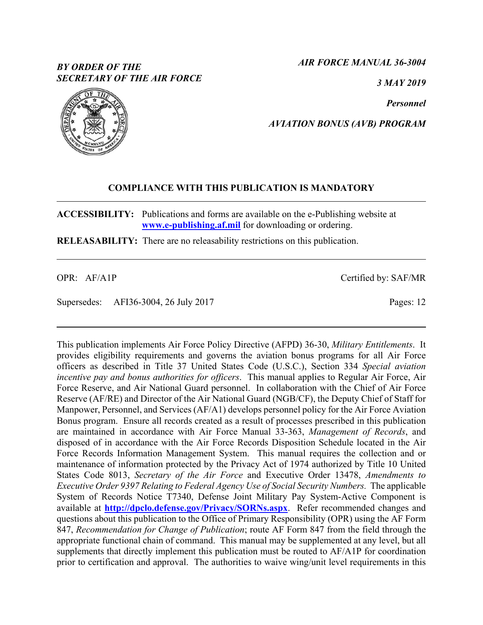# *BY ORDER OF THE SECRETARY OF THE AIR FORCE*

*AIR FORCE MANUAL 36-3004*

*3 MAY 2019*

*Personnel*

*AVIATION BONUS (AVB) PROGRAM*

## **COMPLIANCE WITH THIS PUBLICATION IS MANDATORY**

**ACCESSIBILITY:** Publications and forms are available on the e-Publishing website at **[www.e-publishing.af.mil](http://www.e-publishing.af.mil/)** for downloading or ordering.

**RELEASABILITY:** There are no releasability restrictions on this publication.

OPR: AF/A1P

Supersedes: AFI36-3004, 26 July 2017

This publication implements Air Force Policy Directive (AFPD) 36-30, *Military Entitlements*. It provides eligibility requirements and governs the aviation bonus programs for all Air Force officers as described in Title 37 United States Code (U.S.C.), Section 334 *Special aviation incentive pay and bonus authorities for officers*. This manual applies to Regular Air Force, Air Force Reserve, and Air National Guard personnel. In collaboration with the Chief of Air Force Reserve (AF/RE) and Director of the Air National Guard (NGB/CF), the Deputy Chief of Staff for Manpower, Personnel, and Services (AF/A1) develops personnel policy for the Air Force Aviation Bonus program. Ensure all records created as a result of processes prescribed in this publication are maintained in accordance with Air Force Manual 33-363, *Management of Records*, and disposed of in accordance with the Air Force Records Disposition Schedule located in the Air Force Records Information Management System. This manual requires the collection and or maintenance of information protected by the Privacy Act of 1974 authorized by Title 10 United States Code 8013, *Secretary of the Air Force* and Executive Order 13478, *Amendments to Executive Order 9397 Relating to Federal Agency Use of Social Security Numbers.* The applicable System of Records Notice T7340, Defense Joint Military Pay System-Active Component is available at **<http://dpclo.defense.gov/Privacy/SORNs.aspx>**. Refer recommended changes and questions about this publication to the Office of Primary Responsibility (OPR) using the AF Form 847, *Recommendation for Change of Publication*; route AF Form 847 from the field through the appropriate functional chain of command. This manual may be supplemented at any level, but all supplements that directly implement this publication must be routed to AF/A1P for coordination prior to certification and approval. The authorities to waive wing/unit level requirements in this



Pages: 12

Certified by: SAF/MR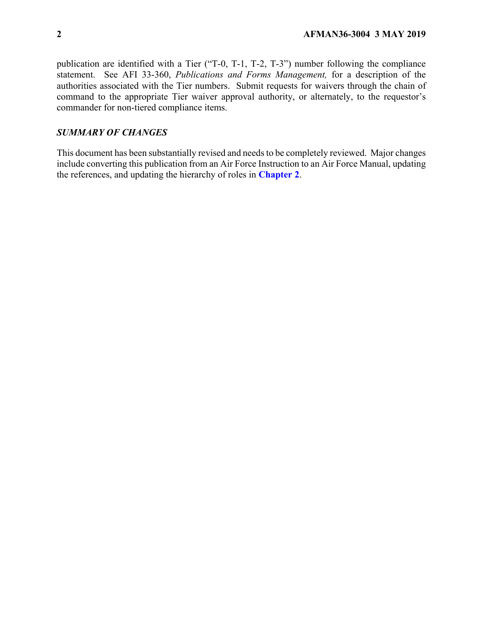publication are identified with a Tier ("T-0, T-1, T-2, T-3") number following the compliance statement. See AFI 33-360, *Publications and Forms Management,* for a description of the authorities associated with the Tier numbers. Submit requests for waivers through the chain of command to the appropriate Tier waiver approval authority, or alternately, to the requestor's commander for non-tiered compliance items.

## *SUMMARY OF CHANGES*

This document has been substantially revised and needs to be completely reviewed. Major changes include converting this publication from an Air Force Instruction to an Air Force Manual, updating the references, and updating the hierarchy of roles in **[Chapter 2](#page-3-0)**.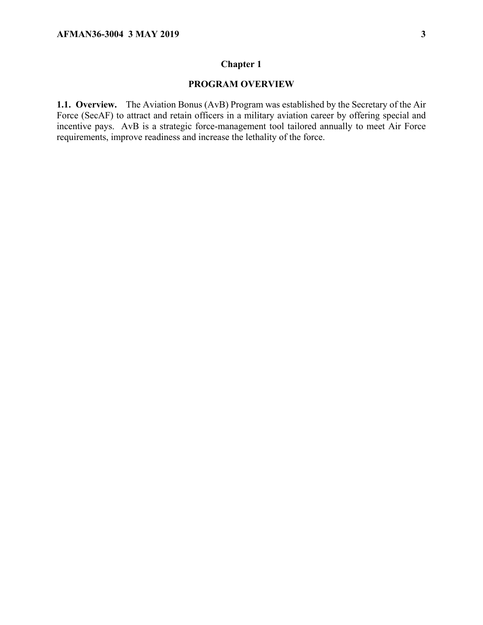## **Chapter 1**

## **PROGRAM OVERVIEW**

**1.1. Overview.** The Aviation Bonus (AvB) Program was established by the Secretary of the Air Force (SecAF) to attract and retain officers in a military aviation career by offering special and incentive pays. AvB is a strategic force-management tool tailored annually to meet Air Force requirements, improve readiness and increase the lethality of the force.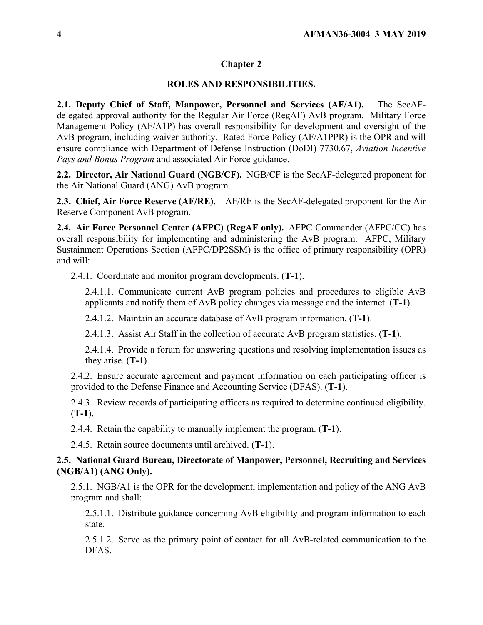### **Chapter 2**

#### **ROLES AND RESPONSIBILITIES.**

<span id="page-3-0"></span>**2.1. Deputy Chief of Staff, Manpower, Personnel and Services (AF/A1).** The SecAFdelegated approval authority for the Regular Air Force (RegAF) AvB program. Military Force Management Policy (AF/A1P) has overall responsibility for development and oversight of the AvB program, including waiver authority. Rated Force Policy (AF/A1PPR) is the OPR and will ensure compliance with Department of Defense Instruction (DoDI) 7730.67, *Aviation Incentive Pays and Bonus Program* and associated Air Force guidance.

**2.2. Director, Air National Guard (NGB/CF).** NGB/CF is the SecAF-delegated proponent for the Air National Guard (ANG) AvB program.

**2.3. Chief, Air Force Reserve (AF/RE).** AF/RE is the SecAF-delegated proponent for the Air Reserve Component AvB program.

**2.4. Air Force Personnel Center (AFPC) (RegAF only).** AFPC Commander (AFPC/CC) has overall responsibility for implementing and administering the AvB program. AFPC, Military Sustainment Operations Section (AFPC/DP2SSM) is the office of primary responsibility (OPR) and will:

2.4.1. Coordinate and monitor program developments. (**T-1**).

2.4.1.1. Communicate current AvB program policies and procedures to eligible AvB applicants and notify them of AvB policy changes via message and the internet. (**T-1**).

2.4.1.2. Maintain an accurate database of AvB program information. (**T-1**).

2.4.1.3. Assist Air Staff in the collection of accurate AvB program statistics. (**T-1**).

2.4.1.4. Provide a forum for answering questions and resolving implementation issues as they arise. (**T-1**).

2.4.2. Ensure accurate agreement and payment information on each participating officer is provided to the Defense Finance and Accounting Service (DFAS). (**T-1**).

2.4.3. Review records of participating officers as required to determine continued eligibility. (**T-1**).

2.4.4. Retain the capability to manually implement the program. (**T-1**).

2.4.5. Retain source documents until archived. (**T-1**).

### **2.5. National Guard Bureau, Directorate of Manpower, Personnel, Recruiting and Services (NGB/A1) (ANG Only).**

2.5.1. NGB/A1 is the OPR for the development, implementation and policy of the ANG AvB program and shall:

2.5.1.1. Distribute guidance concerning AvB eligibility and program information to each state.

2.5.1.2. Serve as the primary point of contact for all AvB-related communication to the DFAS.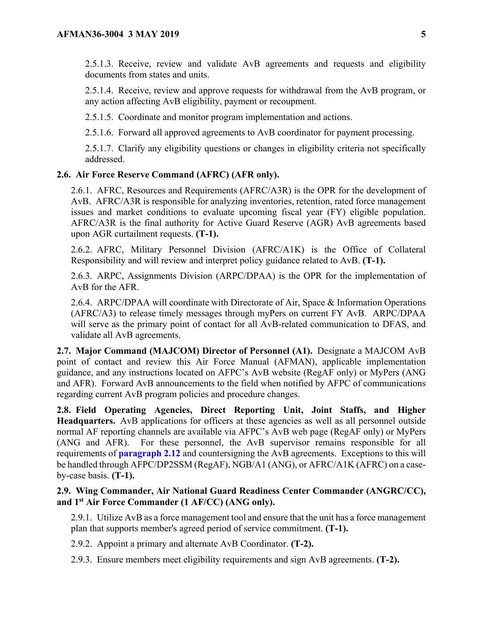2.5.1.3. Receive, review and validate AvB agreements and requests and eligibility documents from states and units.

2.5.1.4. Receive, review and approve requests for withdrawal from the AvB program, or any action affecting AvB eligibility, payment or recoupment.

2.5.1.5. Coordinate and monitor program implementation and actions.

2.5.1.6. Forward all approved agreements to AvB coordinator for payment processing.

2.5.1.7. Clarify any eligibility questions or changes in eligibility criteria not specifically addressed.

### **2.6. Air Force Reserve Command (AFRC) (AFR only).**

2.6.1. AFRC, Resources and Requirements (AFRC/A3R) is the OPR for the development of AvB. AFRC/A3R is responsible for analyzing inventories, retention, rated force management issues and market conditions to evaluate upcoming fiscal year (FY) eligible population. AFRC/A3R is the final authority for Active Guard Reserve (AGR) AvB agreements based upon AGR curtailment requests. **(T-1).**

2.6.2. AFRC, Military Personnel Division (AFRC/A1K) is the Office of Collateral Responsibility and will review and interpret policy guidance related to AvB. **(T-1).**

2.6.3. ARPC, Assignments Division (ARPC/DPAA) is the OPR for the implementation of AvB for the AFR.

2.6.4. ARPC/DPAA will coordinate with Directorate of Air, Space & Information Operations (AFRC/A3) to release timely messages through myPers on current FY AvB. ARPC/DPAA will serve as the primary point of contact for all AvB-related communication to DFAS, and validate all AvB agreements.

**2.7. Major Command (MAJCOM) Director of Personnel (A1).** Designate a MAJCOM AvB point of contact and review this Air Force Manual (AFMAN), applicable implementation guidance, and any instructions located on AFPC's AvB website (RegAF only) or MyPers (ANG and AFR). Forward AvB announcements to the field when notified by AFPC of communications regarding current AvB program policies and procedure changes.

**2.8. Field Operating Agencies, Direct Reporting Unit, Joint Staffs, and Higher Headquarters.** AvB applications for officers at these agencies as well as all personnel outside normal AF reporting channels are available via AFPC's AvB web page (RegAF only) or MyPers (ANG and AFR). For these personnel, the AvB supervisor remains responsible for all requirements of **[paragraph 2.12](#page-5-0)** and countersigning the AvB agreements. Exceptions to this will be handled through AFPC/DP2SSM (RegAF), NGB/A1 (ANG), or AFRC/A1K (AFRC) on a caseby-case basis. **(T-1).**

### **2.9. Wing Commander, Air National Guard Readiness Center Commander (ANGRC/CC), and 1st Air Force Commander (1 AF/CC) (ANG only).**

2.9.1. Utilize AvB as a force management tool and ensure that the unit has a force management plan that supports member's agreed period of service commitment. **(T-1).**

2.9.2. Appoint a primary and alternate AvB Coordinator. **(T-2).**

2.9.3. Ensure members meet eligibility requirements and sign AvB agreements. **(T-2).**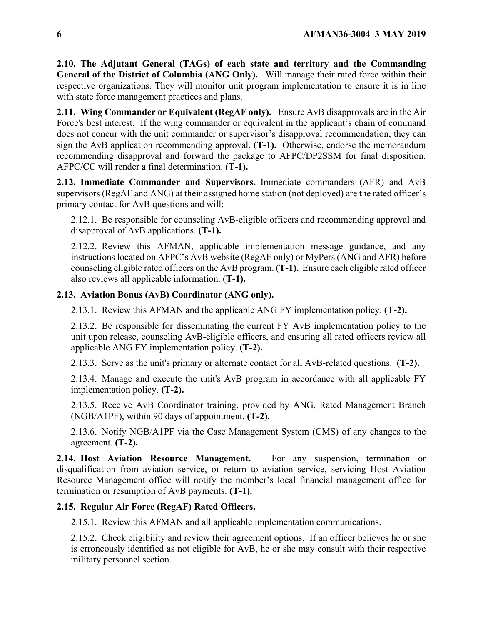**2.10. The Adjutant General (TAGs) of each state and territory and the Commanding General of the District of Columbia (ANG Only).** Will manage their rated force within their respective organizations. They will monitor unit program implementation to ensure it is in line with state force management practices and plans.

**2.11. Wing Commander or Equivalent (RegAF only).** Ensure AvB disapprovals are in the Air Force's best interest. If the wing commander or equivalent in the applicant's chain of command does not concur with the unit commander or supervisor's disapproval recommendation, they can sign the AvB application recommending approval. (**T-1).** Otherwise, endorse the memorandum recommending disapproval and forward the package to AFPC/DP2SSM for final disposition. AFPC/CC will render a final determination. (**T-1).**

<span id="page-5-0"></span>**2.12. Immediate Commander and Supervisors.** Immediate commanders (AFR) and AvB supervisors (RegAF and ANG) at their assigned home station (not deployed) are the rated officer's primary contact for AvB questions and will:

2.12.1. Be responsible for counseling AvB-eligible officers and recommending approval and disapproval of AvB applications. **(T-1).**

2.12.2. Review this AFMAN, applicable implementation message guidance, and any instructions located on AFPC's AvB website (RegAF only) or MyPers (ANG and AFR) before counseling eligible rated officers on the AvB program. (**T-1).** Ensure each eligible rated officer also reviews all applicable information. (**T-1).**

# **2.13. Aviation Bonus (AvB) Coordinator (ANG only).**

2.13.1. Review this AFMAN and the applicable ANG FY implementation policy. **(T-2).**

2.13.2. Be responsible for disseminating the current FY AvB implementation policy to the unit upon release, counseling AvB-eligible officers, and ensuring all rated officers review all applicable ANG FY implementation policy. **(T-2).**

2.13.3. Serve as the unit's primary or alternate contact for all AvB-related questions. **(T-2).**

2.13.4. Manage and execute the unit's AvB program in accordance with all applicable FY implementation policy. **(T-2).**

2.13.5. Receive AvB Coordinator training, provided by ANG, Rated Management Branch (NGB/A1PF), within 90 days of appointment. **(T-2).**

2.13.6. Notify NGB/A1PF via the Case Management System (CMS) of any changes to the agreement. **(T-2).**

**2.14. Host Aviation Resource Management.** For any suspension, termination or disqualification from aviation service, or return to aviation service, servicing Host Aviation Resource Management office will notify the member's local financial management office for termination or resumption of AvB payments. **(T-1).**

# **2.15. Regular Air Force (RegAF) Rated Officers.**

2.15.1. Review this AFMAN and all applicable implementation communications.

2.15.2. Check eligibility and review their agreement options. If an officer believes he or she is erroneously identified as not eligible for AvB, he or she may consult with their respective military personnel section.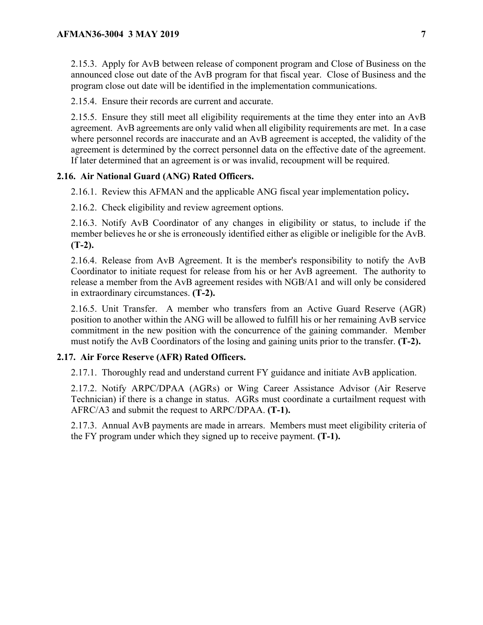2.15.3. Apply for AvB between release of component program and Close of Business on the announced close out date of the AvB program for that fiscal year. Close of Business and the program close out date will be identified in the implementation communications.

2.15.4. Ensure their records are current and accurate.

2.15.5. Ensure they still meet all eligibility requirements at the time they enter into an AvB agreement. AvB agreements are only valid when all eligibility requirements are met. In a case where personnel records are inaccurate and an AvB agreement is accepted, the validity of the agreement is determined by the correct personnel data on the effective date of the agreement. If later determined that an agreement is or was invalid, recoupment will be required.

## **2.16. Air National Guard (ANG) Rated Officers.**

2.16.1. Review this AFMAN and the applicable ANG fiscal year implementation policy**.**

2.16.2. Check eligibility and review agreement options.

2.16.3. Notify AvB Coordinator of any changes in eligibility or status, to include if the member believes he or she is erroneously identified either as eligible or ineligible for the AvB. **(T-2).**

2.16.4. Release from AvB Agreement. It is the member's responsibility to notify the AvB Coordinator to initiate request for release from his or her AvB agreement. The authority to release a member from the AvB agreement resides with NGB/A1 and will only be considered in extraordinary circumstances. **(T-2).**

2.16.5. Unit Transfer. A member who transfers from an Active Guard Reserve (AGR) position to another within the ANG will be allowed to fulfill his or her remaining AvB service commitment in the new position with the concurrence of the gaining commander. Member must notify the AvB Coordinators of the losing and gaining units prior to the transfer. **(T-2).**

## **2.17. Air Force Reserve (AFR) Rated Officers.**

2.17.1. Thoroughly read and understand current FY guidance and initiate AvB application.

2.17.2. Notify ARPC/DPAA (AGRs) or Wing Career Assistance Advisor (Air Reserve Technician) if there is a change in status. AGRs must coordinate a curtailment request with AFRC/A3 and submit the request to ARPC/DPAA. **(T-1).**

2.17.3. Annual AvB payments are made in arrears. Members must meet eligibility criteria of the FY program under which they signed up to receive payment. **(T-1).**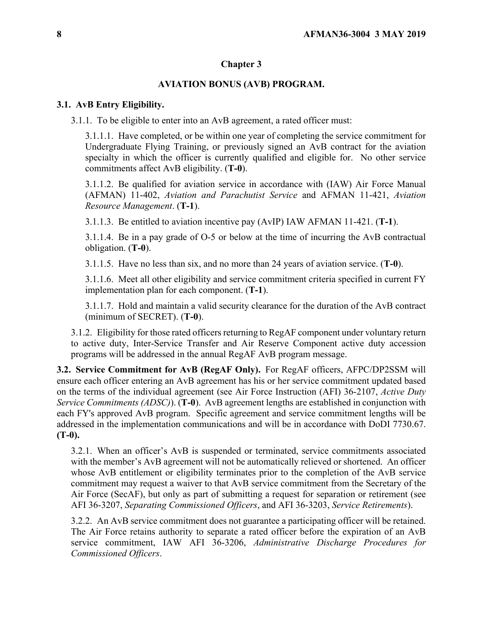## **Chapter 3**

### **AVIATION BONUS (AVB) PROGRAM.**

#### **3.1. AvB Entry Eligibility.**

3.1.1. To be eligible to enter into an AvB agreement, a rated officer must:

3.1.1.1. Have completed, or be within one year of completing the service commitment for Undergraduate Flying Training, or previously signed an AvB contract for the aviation specialty in which the officer is currently qualified and eligible for. No other service commitments affect AvB eligibility. (**T-0**).

3.1.1.2. Be qualified for aviation service in accordance with (IAW) Air Force Manual (AFMAN) 11-402, *Aviation and Parachutist Service* and AFMAN 11-421, *Aviation Resource Management*. (**T-1**).

3.1.1.3. Be entitled to aviation incentive pay (AvIP) IAW AFMAN 11-421. (**T-1**).

3.1.1.4. Be in a pay grade of O-5 or below at the time of incurring the AvB contractual obligation. (**T-0**).

3.1.1.5. Have no less than six, and no more than 24 years of aviation service. (**T-0**).

3.1.1.6. Meet all other eligibility and service commitment criteria specified in current FY implementation plan for each component. (**T-1**).

3.1.1.7. Hold and maintain a valid security clearance for the duration of the AvB contract (minimum of SECRET). (**T-0**).

3.1.2. Eligibility for those rated officers returning to RegAF component under voluntary return to active duty, Inter-Service Transfer and Air Reserve Component active duty accession programs will be addressed in the annual RegAF AvB program message.

**3.2. Service Commitment for AvB (RegAF Only).** For RegAF officers, AFPC/DP2SSM will ensure each officer entering an AvB agreement has his or her service commitment updated based on the terms of the individual agreement (see Air Force Instruction (AFI) 36-2107, *Active Duty Service Commitments (ADSC)*). (**T-0**). AvB agreement lengths are established in conjunction with each FY's approved AvB program. Specific agreement and service commitment lengths will be addressed in the implementation communications and will be in accordance with DoDI 7730.67. **(T-0).**

3.2.1. When an officer's AvB is suspended or terminated, service commitments associated with the member's AvB agreement will not be automatically relieved or shortened. An officer whose AvB entitlement or eligibility terminates prior to the completion of the AvB service commitment may request a waiver to that AvB service commitment from the Secretary of the Air Force (SecAF), but only as part of submitting a request for separation or retirement (see AFI 36-3207, *Separating Commissioned Officers*, and AFI 36-3203, *Service Retirements*).

3.2.2. An AvB service commitment does not guarantee a participating officer will be retained. The Air Force retains authority to separate a rated officer before the expiration of an AvB service commitment, IAW AFI 36-3206, *Administrative Discharge Procedures for Commissioned Officers*.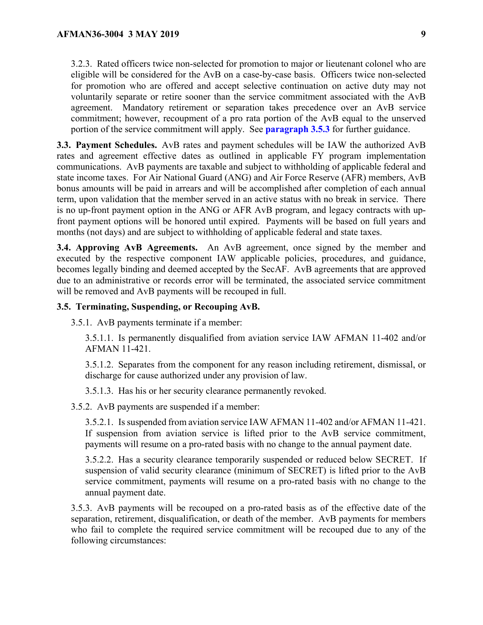3.2.3. Rated officers twice non-selected for promotion to major or lieutenant colonel who are eligible will be considered for the AvB on a case-by-case basis. Officers twice non-selected for promotion who are offered and accept selective continuation on active duty may not voluntarily separate or retire sooner than the service commitment associated with the AvB agreement. Mandatory retirement or separation takes precedence over an AvB service commitment; however, recoupment of a pro rata portion of the AvB equal to the unserved portion of the service commitment will apply. See **[paragraph 3.5.3](#page-8-0)** for further guidance.

**3.3. Payment Schedules.** AvB rates and payment schedules will be IAW the authorized AvB rates and agreement effective dates as outlined in applicable FY program implementation communications. AvB payments are taxable and subject to withholding of applicable federal and state income taxes. For Air National Guard (ANG) and Air Force Reserve (AFR) members, AvB bonus amounts will be paid in arrears and will be accomplished after completion of each annual term, upon validation that the member served in an active status with no break in service. There is no up-front payment option in the ANG or AFR AvB program, and legacy contracts with upfront payment options will be honored until expired. Payments will be based on full years and months (not days) and are subject to withholding of applicable federal and state taxes.

**3.4. Approving AvB Agreements.** An AvB agreement, once signed by the member and executed by the respective component IAW applicable policies, procedures, and guidance, becomes legally binding and deemed accepted by the SecAF. AvB agreements that are approved due to an administrative or records error will be terminated, the associated service commitment will be removed and AvB payments will be recouped in full.

#### **3.5. Terminating, Suspending, or Recouping AvB.**

3.5.1. AvB payments terminate if a member:

3.5.1.1. Is permanently disqualified from aviation service IAW AFMAN 11-402 and/or AFMAN 11-421.

3.5.1.2. Separates from the component for any reason including retirement, dismissal, or discharge for cause authorized under any provision of law.

3.5.1.3. Has his or her security clearance permanently revoked.

3.5.2. AvB payments are suspended if a member:

3.5.2.1. Is suspended from aviation service IAW AFMAN 11-402 and/or AFMAN 11-421. If suspension from aviation service is lifted prior to the AvB service commitment, payments will resume on a pro-rated basis with no change to the annual payment date.

3.5.2.2. Has a security clearance temporarily suspended or reduced below SECRET. If suspension of valid security clearance (minimum of SECRET) is lifted prior to the AvB service commitment, payments will resume on a pro-rated basis with no change to the annual payment date.

<span id="page-8-0"></span>3.5.3. AvB payments will be recouped on a pro-rated basis as of the effective date of the separation, retirement, disqualification, or death of the member. AvB payments for members who fail to complete the required service commitment will be recouped due to any of the following circumstances: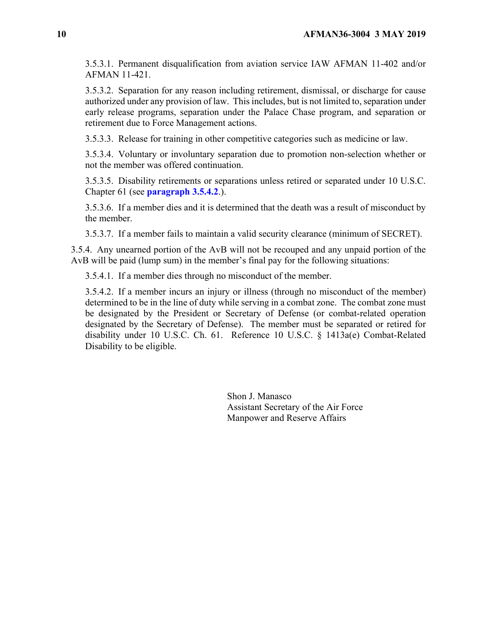3.5.3.1. Permanent disqualification from aviation service IAW AFMAN 11-402 and/or AFMAN 11-421.

3.5.3.2. Separation for any reason including retirement, dismissal, or discharge for cause authorized under any provision of law. This includes, but is not limited to, separation under early release programs, separation under the Palace Chase program, and separation or retirement due to Force Management actions.

3.5.3.3. Release for training in other competitive categories such as medicine or law.

3.5.3.4. Voluntary or involuntary separation due to promotion non-selection whether or not the member was offered continuation.

3.5.3.5. Disability retirements or separations unless retired or separated under 10 U.S.C. Chapter 61 (see **[paragraph 3.5.4.2](#page-9-0)**.).

3.5.3.6. If a member dies and it is determined that the death was a result of misconduct by the member.

3.5.3.7. If a member fails to maintain a valid security clearance (minimum of SECRET).

3.5.4. Any unearned portion of the AvB will not be recouped and any unpaid portion of the AvB will be paid (lump sum) in the member's final pay for the following situations:

3.5.4.1. If a member dies through no misconduct of the member.

<span id="page-9-0"></span>3.5.4.2. If a member incurs an injury or illness (through no misconduct of the member) determined to be in the line of duty while serving in a combat zone. The combat zone must be designated by the President or Secretary of Defense (or combat-related operation designated by the Secretary of Defense). The member must be separated or retired for disability under 10 U.S.C. Ch. 61. Reference 10 U.S.C. § 1413a(e) Combat-Related Disability to be eligible.

> Shon J. Manasco Assistant Secretary of the Air Force Manpower and Reserve Affairs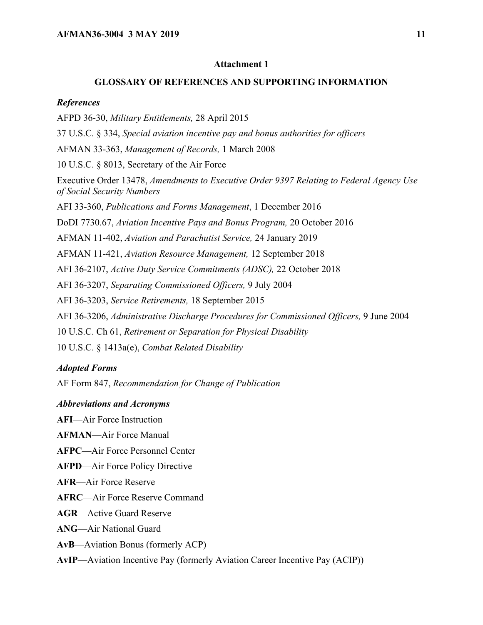### **Attachment 1**

#### **GLOSSARY OF REFERENCES AND SUPPORTING INFORMATION**

#### *References*

AFPD 36-30, *Military Entitlements,* 28 April 2015 37 U.S.C. § 334, *Special aviation incentive pay and bonus authorities for officers* AFMAN 33-363, *Management of Records,* 1 March 2008 10 U.S.C. § 8013, Secretary of the Air Force Executive Order 13478, *Amendments to Executive Order 9397 Relating to Federal Agency Use of Social Security Numbers* AFI 33-360, *Publications and Forms Management*, 1 December 2016 DoDI 7730.67, *Aviation Incentive Pays and Bonus Program,* 20 October 2016 AFMAN 11-402, *Aviation and Parachutist Service,* 24 January 2019 AFMAN 11-421, *Aviation Resource Management,* 12 September 2018 AFI 36-2107, *Active Duty Service Commitments (ADSC),* 22 October 2018 AFI 36-3207, *Separating Commissioned Officers,* 9 July 2004 AFI 36-3203, *Service Retirements,* 18 September 2015 AFI 36-3206, *Administrative Discharge Procedures for Commissioned Officers,* 9 June 2004 10 U.S.C. Ch 61, *Retirement or Separation for Physical Disability* 10 U.S.C. § 1413a(e), *Combat Related Disability*

#### *Adopted Forms*

AF Form 847, *Recommendation for Change of Publication*

#### *Abbreviations and Acronyms*

**AFI**—Air Force Instruction

- **AFMAN**—Air Force Manual
- **AFPC**—Air Force Personnel Center
- **AFPD**—Air Force Policy Directive
- **AFR**—Air Force Reserve
- **AFRC**—Air Force Reserve Command
- **AGR**—Active Guard Reserve
- **ANG**—Air National Guard
- **AvB**—Aviation Bonus (formerly ACP)
- **AvIP**—Aviation Incentive Pay (formerly Aviation Career Incentive Pay (ACIP))